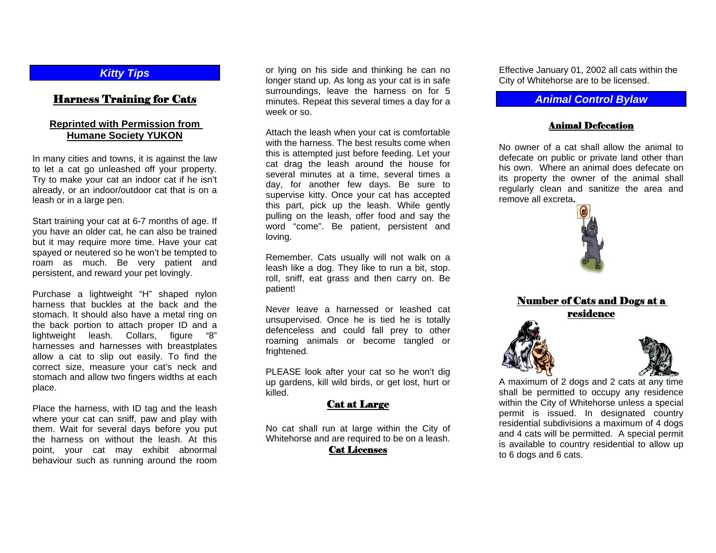#### *Kitty Tips*

# Harness Training for Cats

#### **Reprinted with Permission from Humane Society YUKON**

In many cities and towns, it is against the law to let a cat go unleashed off your property. Try to make your cat an indoor cat if he isn't already, or an indoor/outdoor cat that is on a leash or in a large pen.

Start training your cat at 6-7 months of age. If you have an older cat, he can also be trained but it may require more time. Have your cat spayed or neutered so he won't be tempted to roam as much. Be very patient and persistent, and reward your pet lovingly.

Purchase a lightweight "H" shaped nylon harness that buckles at the back and the stomach. It should also have a metal ring on the back portion to attach proper ID and a lightweight leash. Collars, figure "8" harnesses and harnesses with breastplates allow a cat to slip out easily. To find the correct size, measure your cat's neck and stomach and allow two fingers widths at each place.

Place the harness, with ID tag and the leash where your cat can sniff, paw and play with them. Wait for several days before you put the harness on without the leash. At this point, your cat may exhibit abnormal behaviour such as running around the room

or lying on his side and thinking he can no longer stand up. As long as your cat is in safe surroundings, leave the harness on for 5 minutes. Repeat this several times a day for a week or so.

Attach the leash when your cat is comfortable with the harness. The best results come when this is attempted just before feeding. Let your cat drag the leash around the house for several minutes at a time, several times a day, for another few days. Be sure to supervise kitty. Once your cat has accepted this part, pick up the leash. While gently pulling on the leash, offer food and say the word "come". Be patient, persistent and loving.

Remember. Cats usually will not walk on a leash like a dog. They like to run a bit, stop. roll, sniff, eat grass and then carry on. Be patient!

Never leave a harnessed or leashed cat unsupervised. Once he is tied he is totally defenceless and could fall prey to other roaming animals or become tangled or frightened.

PLEASE look after your cat so he won't dig up gardens, kill wild birds, or get lost, hurt or killed.

# Cat at Large

No cat shall run at large within the City of Whitehorse and are required to be on a leash.

#### Cat Licenses

Effective January 01, 2002 all cats within the City of Whitehorse are to be licensed.

### *Animal Control Bylaw*

#### Animal Defecation

No owner of a cat shall allow the animal to defecate on public or private land other than his own. Where an animal does defecate on its property the owner of the animal shall regularly clean and sanitize the area and remove all excreta**.** 



Number of Cats and Dogs at a residence

A maximum of 2 dogs and 2 cats at any time shall be permitted to occupy any residence within the City of Whitehorse unless a special permit is issued. In designated country residential subdivisions a maximum of 4 dogs and 4 cats will be permitted. A special permit is available to country residential to allow up to 6 dogs and 6 cats.